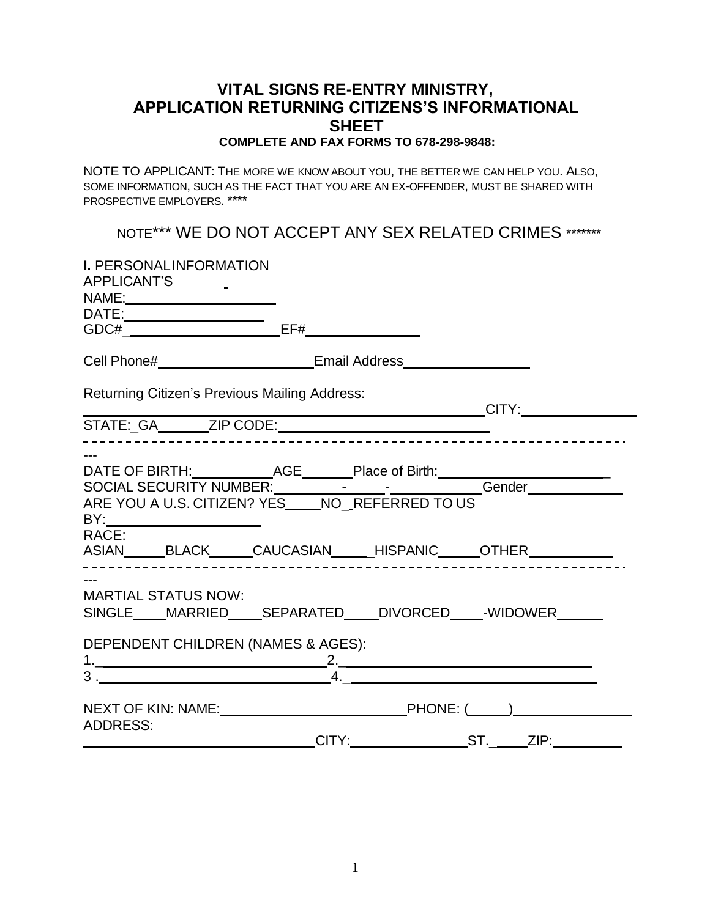## **VITAL SIGNS RE-ENTRY MINISTRY, APPLICATION RETURNING CITIZENS'S INFORMATIONAL SHEET COMPLETE AND FAX FORMS TO 678-298-9848:**

NOTE TO APPLICANT: THE MORE WE KNOW ABOUT YOU, THE BETTER WE CAN HELP YOU. ALSO, SOME INFORMATION, SUCH AS THE FACT THAT YOU ARE AN EX-OFFENDER, MUST BE SHARED WITH PROSPECTIVE EMPLOYERS. \*\*\*\*

NOTE\*\*\* WE DO NOT ACCEPT ANY SEX RELATED CRIMES \*\*\*\*\*\*\*

| I. PERSONALINFORMATION<br>APPLICANT'S<br>NAME:__________________________                                                                                                                                                                                                     |                    |  |
|------------------------------------------------------------------------------------------------------------------------------------------------------------------------------------------------------------------------------------------------------------------------------|--------------------|--|
|                                                                                                                                                                                                                                                                              |                    |  |
|                                                                                                                                                                                                                                                                              |                    |  |
|                                                                                                                                                                                                                                                                              |                    |  |
| Returning Citizen's Previous Mailing Address:                                                                                                                                                                                                                                |                    |  |
|                                                                                                                                                                                                                                                                              |                    |  |
| DATE OF BIRTH: ____________AGE________Place of Birth: ___________________________<br>SOCIAL SECURITY NUMBER: _______________________________Gender___________________<br>ARE YOU A U.S. CITIZEN? YES_____NO__REFERRED TO US<br>RACE:<br>ASIAN BLACK CAUCASIAN HISPANIC OTHER |                    |  |
| <b>MARTIAL STATUS NOW:</b><br>SINGLE MARRIED SEPARATED DIVORCED WIDOWER<br>DEPENDENT CHILDREN (NAMES & AGES):                                                                                                                                                                | 4. $\qquad \qquad$ |  |
| <b>ADDRESS:</b>                                                                                                                                                                                                                                                              |                    |  |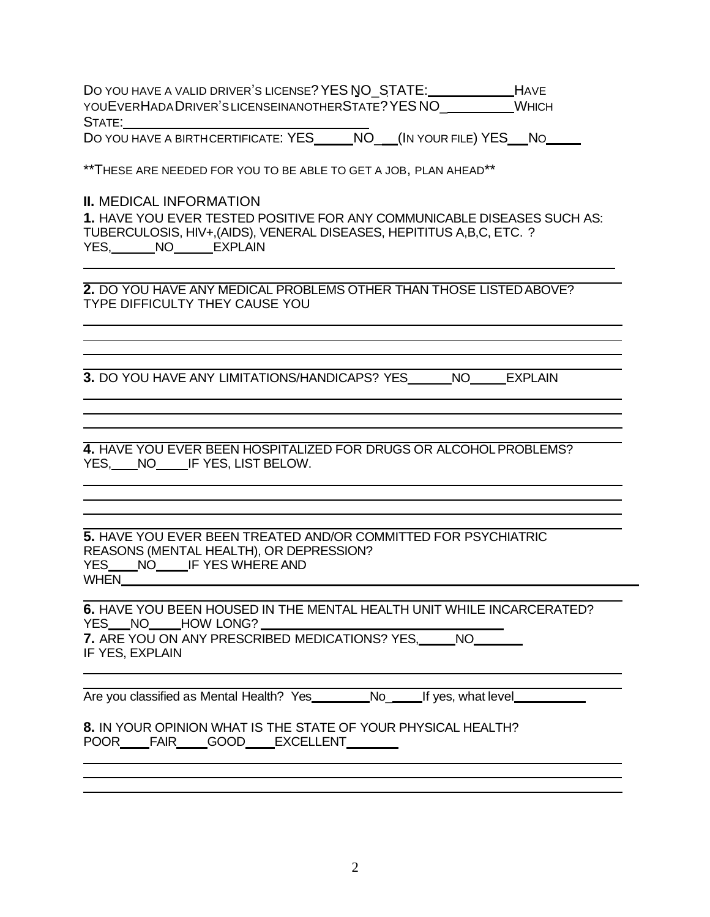DO YOU HAVE A VALID DRIVER'S LICENSE? YES NO\_STATE: HAVE YOUEVERHADADRIVER'SLICENSEINANOTHERSTATE?YES NO\_\_\_\_\_\_\_\_\_WHICH STATE:

DO YOU HAVE A BIRTHCERTIFICATE: YES NO (IN YOUR FILE) YES NO

\*\*THESE ARE NEEDED FOR YOU TO BE ABLE TO GET A JOB, PLAN AHEAD\*\*

## **II.** MEDICAL INFORMATION

**1.** HAVE YOU EVER TESTED POSITIVE FOR ANY COMMUNICABLE DISEASES SUCH AS: TUBERCULOSIS, HIV+,(AIDS), VENERAL DISEASES, HEPITITUS A,B,C, ETC. ? YES, NO EXPLAIN

**2.** DO YOU HAVE ANY MEDICAL PROBLEMS OTHER THAN THOSE LISTEDABOVE? TYPE DIFFICULTY THEY CAUSE YOU

**3.** DO YOU HAVE ANY LIMITATIONS/HANDICAPS? YES NO EXPLAIN

**4.** HAVE YOU EVER BEEN HOSPITALIZED FOR DRUGS OR ALCOHOLPROBLEMS? YES, NO IF YES, LIST BELOW.

**5.** HAVE YOU EVER BEEN TREATED AND/OR COMMITTED FOR PSYCHIATRIC REASONS (MENTAL HEALTH), OR DEPRESSION? YES\_\_\_\_NO\_\_\_\_\_IF YES WHERE AND WHEN

**6.** HAVE YOU BEEN HOUSED IN THE MENTAL HEALTH UNIT WHILE INCARCERATED? YES NO HOW LONG? **7.** ARE YOU ON ANY PRESCRIBED MEDICATIONS? YES, NO IF YES, EXPLAIN

Are you classified as Mental Health? Yes \_\_\_\_\_\_\_\_No\_\_\_\_\_\_If yes, what level\_

**8.** IN YOUR OPINION WHAT IS THE STATE OF YOUR PHYSICAL HEALTH? POOR\_\_\_\_FAIR\_\_\_\_GOOD\_\_\_\_EXCELLENT\_\_\_\_\_\_\_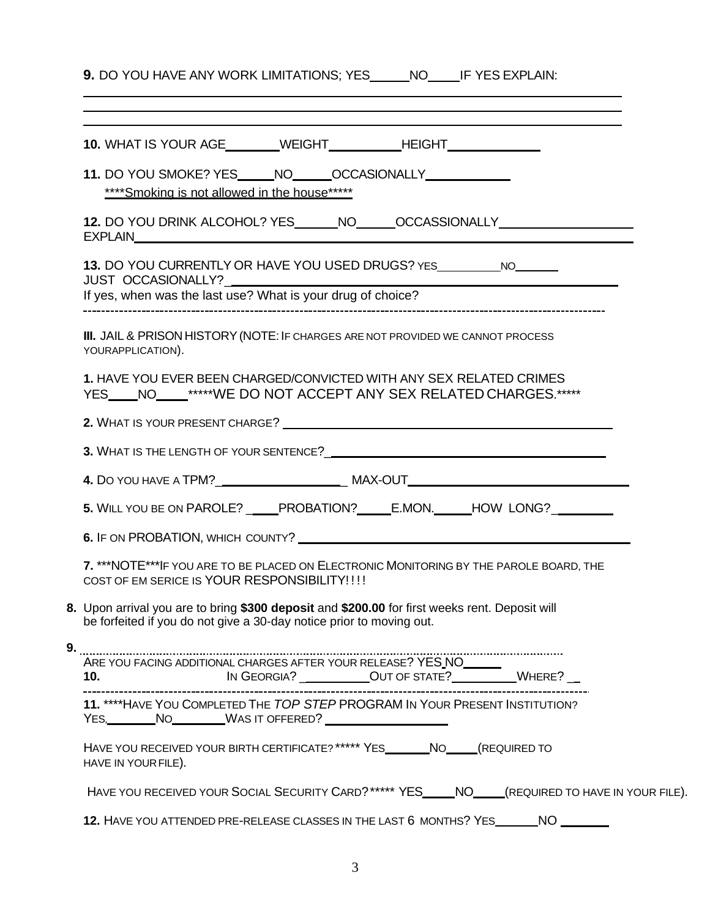**9.** DO YOU HAVE ANY WORK LIMITATIONS; YES \_\_\_\_\_\_NO\_\_\_\_\_IF YES EXPLAIN:

|                                                                                                                                                                        | 10. WHAT IS YOUR AGE WEIGHT HEIGHT                                                                                                                          |  |
|------------------------------------------------------------------------------------------------------------------------------------------------------------------------|-------------------------------------------------------------------------------------------------------------------------------------------------------------|--|
|                                                                                                                                                                        | 11. DO YOU SMOKE? YES _____ NO ______ OCCASIONALLY _____________<br>****Smoking is not allowed in the house*****                                            |  |
|                                                                                                                                                                        | 12. DO YOU DRINK ALCOHOL? YES ______ NO______OCCASSIONALLY______________________                                                                            |  |
|                                                                                                                                                                        | 13. DO YOU CURRENTLY OR HAVE YOU USED DRUGS? YES ___________ NO_______<br>JUST OCCASIONALLY?<br>If yes, when was the last use? What is your drug of choice? |  |
|                                                                                                                                                                        | III. JAIL & PRISON HISTORY (NOTE: IF CHARGES ARE NOT PROVIDED WE CANNOT PROCESS<br>YOURAPPLICATION).                                                        |  |
|                                                                                                                                                                        | 1. HAVE YOU EVER BEEN CHARGED/CONVICTED WITH ANY SEX RELATED CRIMES<br>YES ____ NO _____*****WE DO NOT ACCEPT ANY SEX RELATED CHARGES.*****                 |  |
|                                                                                                                                                                        | 2. WHAT IS YOUR PRESENT CHARGE?                                                                                                                             |  |
|                                                                                                                                                                        |                                                                                                                                                             |  |
|                                                                                                                                                                        |                                                                                                                                                             |  |
|                                                                                                                                                                        | 5. WILL YOU BE ON PAROLE? _____PROBATION? ______E.MON. ______HOW LONG? _________                                                                            |  |
|                                                                                                                                                                        |                                                                                                                                                             |  |
| 7. *** NOTE*** IF YOU ARE TO BE PLACED ON ELECTRONIC MONITORING BY THE PAROLE BOARD, THE<br>COST OF EM SERICE IS YOUR RESPONSIBILITY!!!!                               |                                                                                                                                                             |  |
| 8. Upon arrival you are to bring \$300 deposit and \$200.00 for first weeks rent. Deposit will<br>be forfeited if you do not give a 30-day notice prior to moving out. |                                                                                                                                                             |  |
| 9.                                                                                                                                                                     |                                                                                                                                                             |  |
|                                                                                                                                                                        |                                                                                                                                                             |  |
|                                                                                                                                                                        | 11. **** HAVE YOU COMPLETED THE TOP STEP PROGRAM IN YOUR PRESENT INSTITUTION?<br>YES, NO WAS IT OFFERED?                                                    |  |
|                                                                                                                                                                        | HAVE YOU RECEIVED YOUR BIRTH CERTIFICATE? ***** YES ________ NO _____(REQUIRED TO<br>HAVE IN YOUR FILE).                                                    |  |
|                                                                                                                                                                        | HAVE YOU RECEIVED YOUR SOCIAL SECURITY CARD? ***** YES_____NO____(REQUIRED TO HAVE IN YOUR FILE).                                                           |  |
|                                                                                                                                                                        | 12. HAVE YOU ATTENDED PRE-RELEASE CLASSES IN THE LAST 6 MONTHS? YES ________ NO                                                                             |  |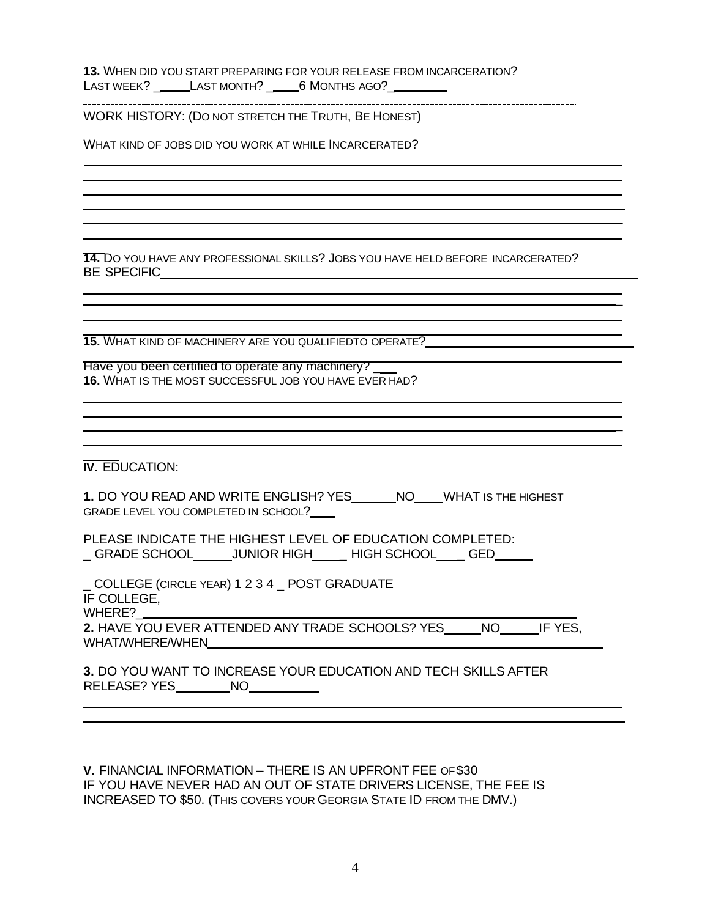**13.** WHEN DID YOU START PREPARING FOR YOUR RELEASE FROM INCARCERATION? LAST WEEK? \_\_\_\_\_\_LAST MONTH? \_\_\_\_\_\_6 MONTHS AGO?\_\_\_\_\_\_\_\_\_\_

WORK HISTORY: (DO NOT STRETCH THE TRUTH, BE HONEST)

WHAT KIND OF JOBS DID YOU WORK AT WHILE INCARCERATED?

**14.** DO YOU HAVE ANY PROFESSIONAL SKILLS? JOBS YOU HAVE HELD BEFORE INCARCERATED? BE SPECIFIC

\_

\_

\_

**15.** WHAT KIND OF MACHINERY ARE YOU QUALIFIEDTO OPERATE?

Have you been certified to operate any machinery? **16.** WHAT IS THE MOST SUCCESSFUL JOB YOU HAVE EVER HAD?

**IV.** EDUCATION:

1. DO YOU READ AND WRITE ENGLISH? YES\_\_\_\_\_\_NO\_\_\_\_WHAT IS THE HIGHEST GRADE LEVEL YOU COMPLETED IN SCHOOL?

PLEASE INDICATE THE HIGHEST LEVEL OF EDUCATION COMPLETED: \_GRADE SCHOOL\_\_\_\_\_\_JUNIOR HIGH\_\_\_\_\_HIGH SCHOOL\_\_\_\_GED\_\_\_\_\_

\_ COLLEGE (CIRCLE YEAR) 1 2 3 4 \_ POST GRADUATE IF COLLEGE,

WHERE?

**2.** HAVE YOU EVER ATTENDED ANY TRADE SCHOOLS? YES NO IF YES, WHAT/WHERE/WHEN

**3.** DO YOU WANT TO INCREASE YOUR EDUCATION AND TECH SKILLS AFTER RELEASE? YES\_\_\_\_\_\_\_\_\_\_NO\_\_\_\_\_\_\_\_\_\_\_\_\_

**V.** FINANCIAL INFORMATION – THERE IS AN UPFRONT FEE OF\$30 IF YOU HAVE NEVER HAD AN OUT OF STATE DRIVERS LICENSE, THE FEE IS INCREASED TO \$50. (THIS COVERS YOUR GEORGIA STATE ID FROM THE DMV.)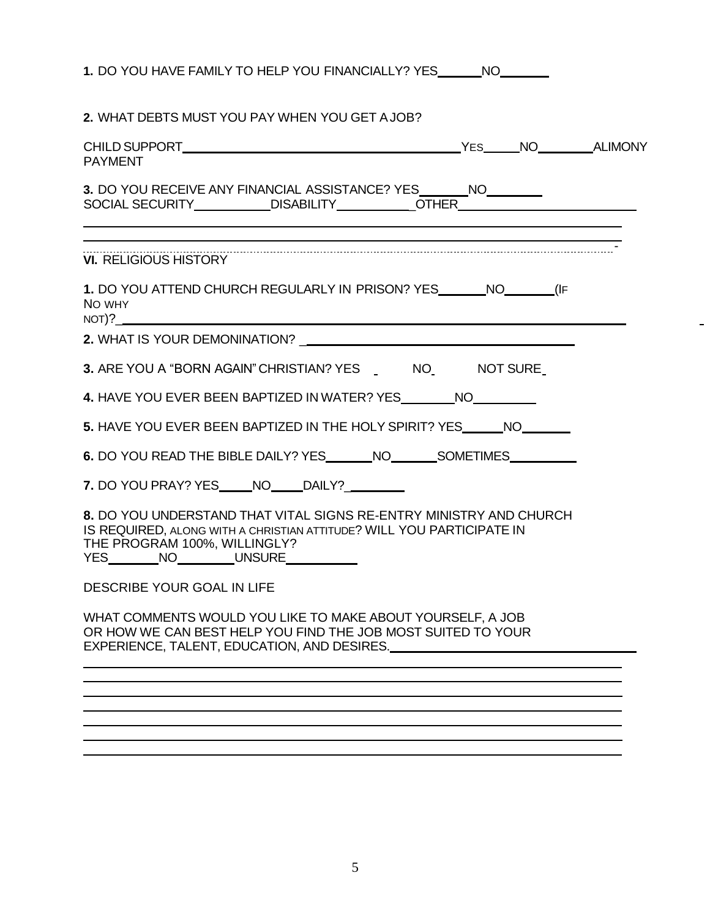| 1. DO YOU HAVE FAMILY TO HELP YOU FINANCIALLY? YES _______ NO ________                                                                                                                                               |
|----------------------------------------------------------------------------------------------------------------------------------------------------------------------------------------------------------------------|
| 2. WHAT DEBTS MUST YOU PAY WHEN YOU GET A JOB?                                                                                                                                                                       |
| <b>PAYMENT</b>                                                                                                                                                                                                       |
| 3. DO YOU RECEIVE ANY FINANCIAL ASSISTANCE? YES ________ NO_________<br>SOCIAL SECURITY____________DISABILITY____________OTHER__________________________                                                             |
| <b>VI. RELIGIOUS HISTORY</b>                                                                                                                                                                                         |
| 1. DO YOU ATTEND CHURCH REGULARLY IN PRISON? YES _______ NO_______ (IF<br>NO WHY<br>NOT) ?                                                                                                                           |
|                                                                                                                                                                                                                      |
| 3. ARE YOU A "BORN AGAIN" CHRISTIAN? YES _ NO_ NOT SURE                                                                                                                                                              |
| 4. HAVE YOU EVER BEEN BAPTIZED IN WATER? YES _________ NO_________                                                                                                                                                   |
| 5. HAVE YOU EVER BEEN BAPTIZED IN THE HOLY SPIRIT? YES NO                                                                                                                                                            |
| 6. DO YOU READ THE BIBLE DAILY? YES________NO__________SOMETIMES________________                                                                                                                                     |
| 7. DO YOU PRAY? YES _____ NO _____ DAILY? _________                                                                                                                                                                  |
| 8. DO YOU UNDERSTAND THAT VITAL SIGNS RE-ENTRY MINISTRY AND CHURCH<br>IS REQUIRED, ALONG WITH A CHRISTIAN ATTITUDE? WILL YOU PARTICIPATE IN<br>THE PROGRAM 100%, WILLINGLY?<br>YES________NO________UNSURE__________ |
| DESCRIBE YOUR GOAL IN LIFE                                                                                                                                                                                           |
| WHAT COMMENTS WOULD YOU LIKE TO MAKE ABOUT YOURSELF, A JOB<br>OR HOW WE CAN BEST HELP YOU FIND THE JOB MOST SUITED TO YOUR                                                                                           |
|                                                                                                                                                                                                                      |
|                                                                                                                                                                                                                      |
|                                                                                                                                                                                                                      |
|                                                                                                                                                                                                                      |